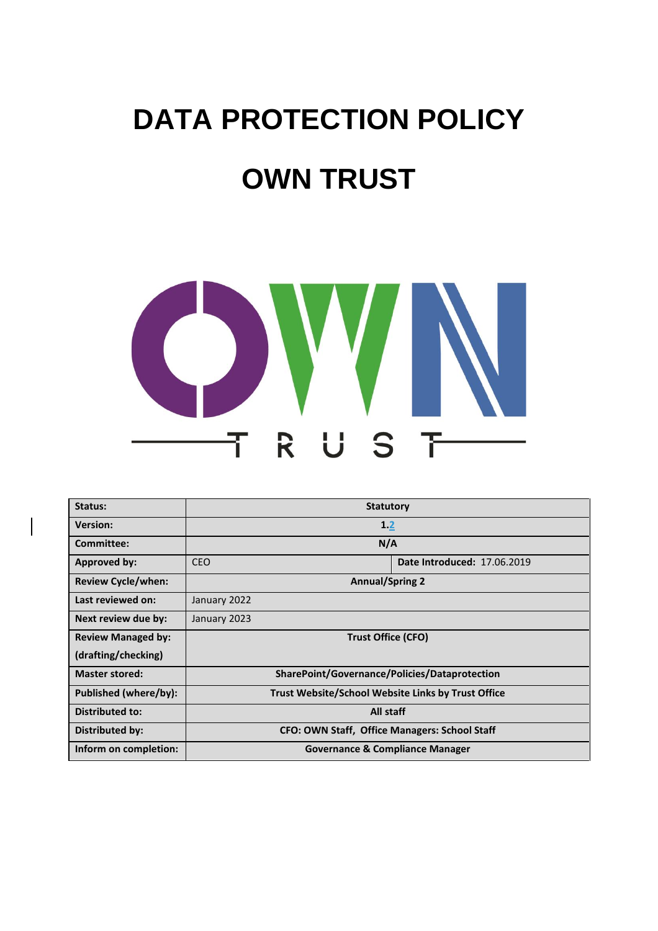# **DATA PROTECTION POLICY OWN TRUST**



| Status:                   | <b>Statutory</b>                                          |  |                             |
|---------------------------|-----------------------------------------------------------|--|-----------------------------|
| <b>Version:</b>           | 1.2                                                       |  |                             |
| <b>Committee:</b>         | N/A                                                       |  |                             |
| Approved by:              | <b>CEO</b>                                                |  | Date Introduced: 17.06.2019 |
| <b>Review Cycle/when:</b> | <b>Annual/Spring 2</b>                                    |  |                             |
| Last reviewed on:         | January 2022                                              |  |                             |
| Next review due by:       | January 2023                                              |  |                             |
| <b>Review Managed by:</b> | <b>Trust Office (CFO)</b>                                 |  |                             |
| (drafting/checking)       |                                                           |  |                             |
| <b>Master stored:</b>     | SharePoint/Governance/Policies/Dataprotection             |  |                             |
| Published (where/by):     | <b>Trust Website/School Website Links by Trust Office</b> |  |                             |
| Distributed to:           | All staff                                                 |  |                             |
| Distributed by:           | CFO: OWN Staff, Office Managers: School Staff             |  |                             |
| Inform on completion:     | <b>Governance &amp; Compliance Manager</b>                |  |                             |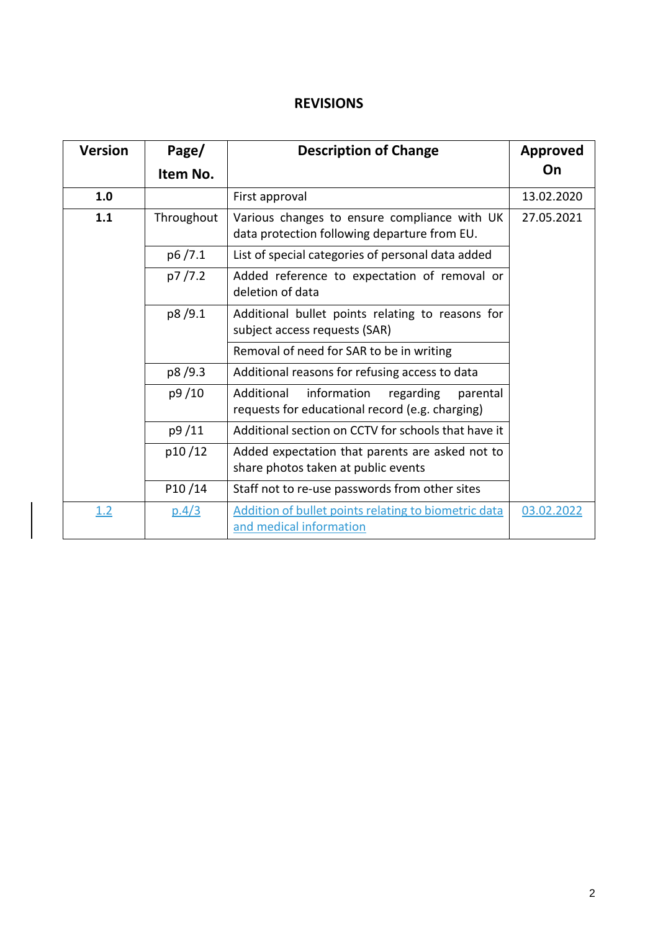# **REVISIONS**

| <b>Version</b>    | Page/    | <b>Description of Change</b>                                                                          | Approved   |
|-------------------|----------|-------------------------------------------------------------------------------------------------------|------------|
|                   | Item No. |                                                                                                       | On         |
| 1.0               |          | First approval                                                                                        | 13.02.2020 |
| 1.1<br>Throughout |          | Various changes to ensure compliance with UK<br>data protection following departure from EU.          | 27.05.2021 |
|                   | p6/7.1   | List of special categories of personal data added                                                     |            |
|                   | p7/7.2   | Added reference to expectation of removal or<br>deletion of data                                      |            |
| p8/9.1            |          | Additional bullet points relating to reasons for<br>subject access requests (SAR)                     |            |
|                   |          | Removal of need for SAR to be in writing                                                              |            |
|                   | p8/9.3   | Additional reasons for refusing access to data                                                        |            |
|                   | p9/10    | Additional<br>information<br>regarding<br>parental<br>requests for educational record (e.g. charging) |            |
|                   | p9/11    | Additional section on CCTV for schools that have it                                                   |            |
|                   | p10/12   | Added expectation that parents are asked not to<br>share photos taken at public events                |            |
| P10/14            |          | Staff not to re-use passwords from other sites                                                        |            |
| 1.2               | p.4/3    | Addition of bullet points relating to biometric data<br>and medical information                       | 03.02.2022 |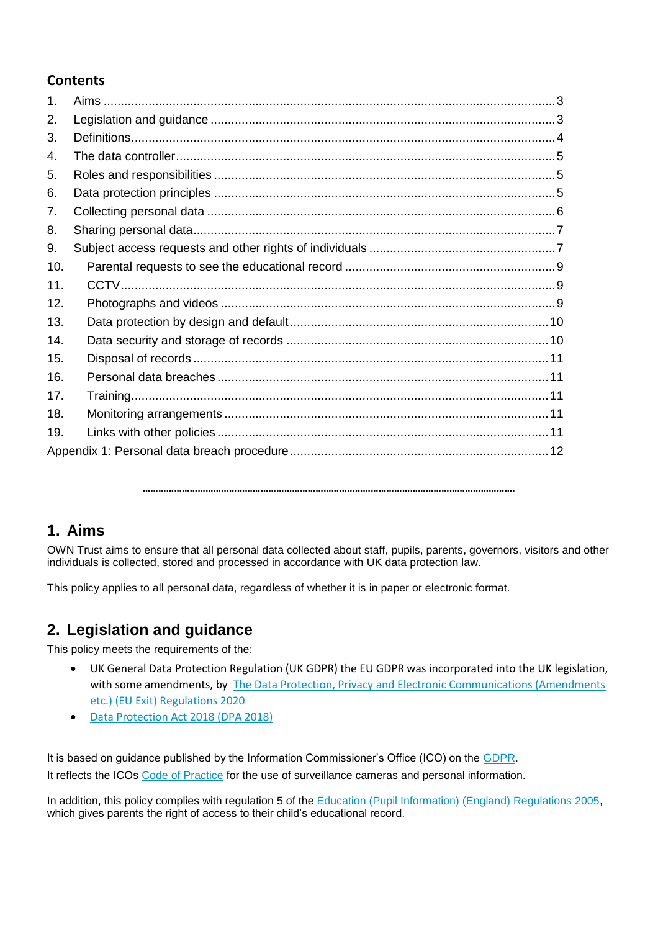## **Contents**

| $\mathbf 1$ . |  |
|---------------|--|
| 2.            |  |
| 3.            |  |
| 4.            |  |
| 5.            |  |
| 6.            |  |
| 7.            |  |
| 8.            |  |
| 9.            |  |
| 10.           |  |
| 11.           |  |
| 12.           |  |
| 13.           |  |
| 14.           |  |
| 15.           |  |
| 16.           |  |
| 17.           |  |
| 18.           |  |
| 19.           |  |
|               |  |

**…………………………………………………………………………………………………………………………….**

## **1. Aims**

OWN Trust aims to ensure that all personal data collected about staff, pupils, parents, governors, visitors and other individuals is collected, stored and processed in accordance with UK data protection law.

This policy applies to all personal data, regardless of whether it is in paper or electronic format.

# **2. Legislation and guidance**

This policy meets the requirements of the:

- UK General Data Protection Regulation (UK GDPR) the EU GDPR was incorporated into the UK legislation, with some amendments, by The Data Protection, Privacy and Electronic Communications (Amendments [etc.\) \(EU Exit\) Regulations 2020](https://www.legislation.gov.uk/uksi/2020/1586/made)
- [Data Protection Act 2018 \(DPA 2018\)](https://www.legislation.gov.uk/ukpga/2018/12/contents/enacted)

It is based on guidance published by the Information Commissioner's Office (ICO) on the [GDPR.](https://ico.org.uk/for-organisations/guide-to-data-protection/guide-to-the-general-data-protection-regulation-gdpr/) It reflects the ICOs [Code of Practice](https://ico.org.uk/media/for-organisations/documents/1542/cctv-code-of-practice.pdf) for the use of surveillance cameras and personal information.

In addition, this policy complies with regulation 5 of the [Education \(Pupil Information\) \(England\) Regulations 2005,](http://www.legislation.gov.uk/uksi/2005/1437/regulation/5/made) which gives parents the right of access to their child's educational record.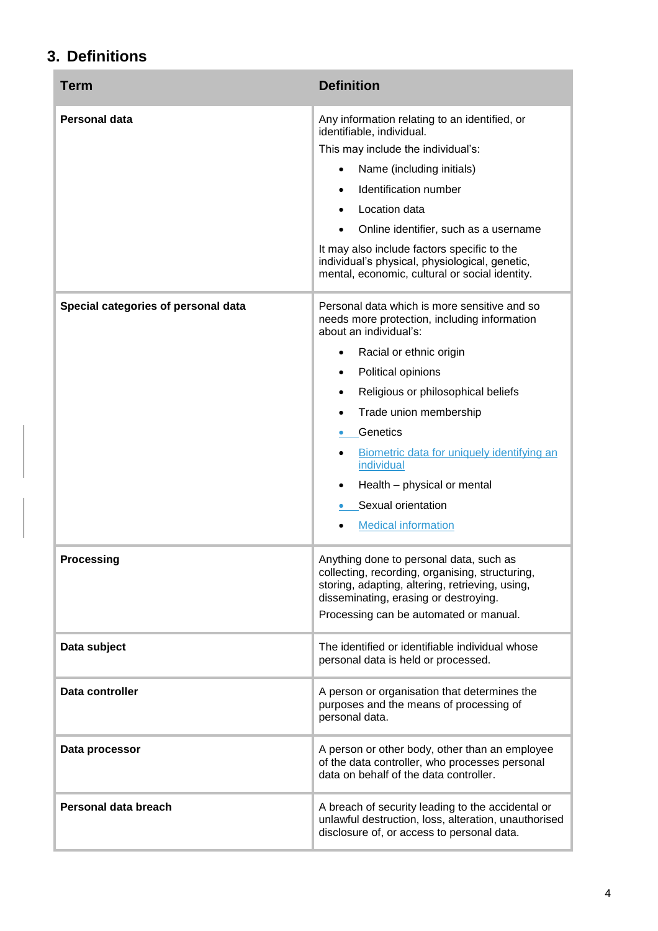# **3. Definitions**

| <b>Term</b>                         | <b>Definition</b>                                                                                                                                                                                                                                                                                                                                                                                                                 |  |
|-------------------------------------|-----------------------------------------------------------------------------------------------------------------------------------------------------------------------------------------------------------------------------------------------------------------------------------------------------------------------------------------------------------------------------------------------------------------------------------|--|
| Personal data                       | Any information relating to an identified, or<br>identifiable, individual.<br>This may include the individual's:<br>Name (including initials)<br>$\bullet$<br>Identification number<br>Location data<br>Online identifier, such as a username<br>It may also include factors specific to the<br>individual's physical, physiological, genetic,<br>mental, economic, cultural or social identity.                                  |  |
| Special categories of personal data | Personal data which is more sensitive and so<br>needs more protection, including information<br>about an individual's:<br>Racial or ethnic origin<br>$\bullet$<br>Political opinions<br>$\bullet$<br>Religious or philosophical beliefs<br>٠<br>Trade union membership<br>Genetics<br>Biometric data for uniquely identifying an<br>individual<br>Health - physical or mental<br>Sexual orientation<br><b>Medical information</b> |  |
| <b>Processing</b>                   | Anything done to personal data, such as<br>collecting, recording, organising, structuring,<br>storing, adapting, altering, retrieving, using,<br>disseminating, erasing or destroying.<br>Processing can be automated or manual.                                                                                                                                                                                                  |  |
| Data subject                        | The identified or identifiable individual whose<br>personal data is held or processed.                                                                                                                                                                                                                                                                                                                                            |  |
| Data controller                     | A person or organisation that determines the<br>purposes and the means of processing of<br>personal data.                                                                                                                                                                                                                                                                                                                         |  |
| Data processor                      | A person or other body, other than an employee<br>of the data controller, who processes personal<br>data on behalf of the data controller.                                                                                                                                                                                                                                                                                        |  |
| Personal data breach                | A breach of security leading to the accidental or<br>unlawful destruction, loss, alteration, unauthorised<br>disclosure of, or access to personal data.                                                                                                                                                                                                                                                                           |  |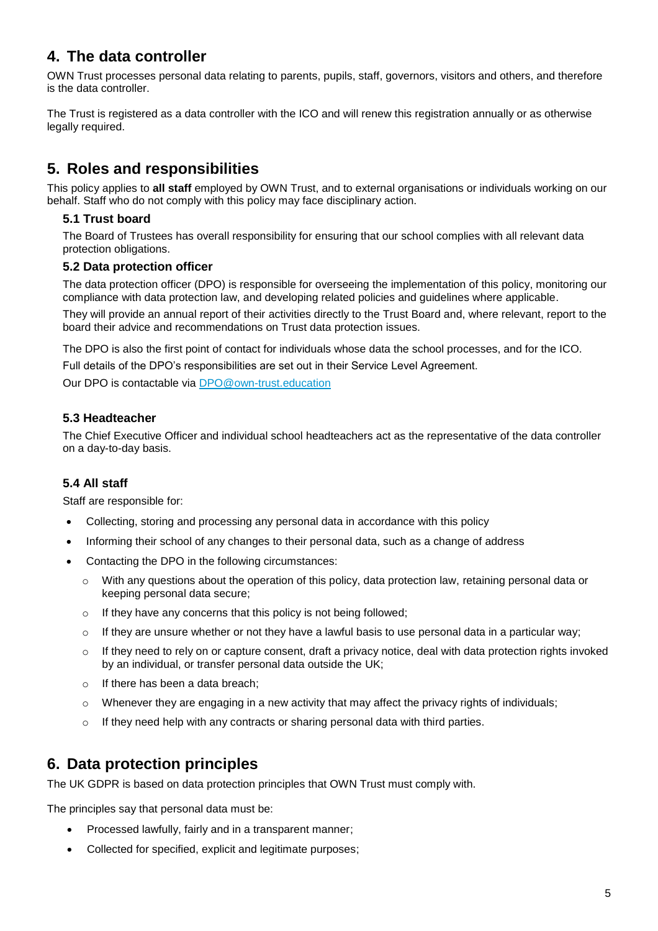# **4. The data controller**

OWN Trust processes personal data relating to parents, pupils, staff, governors, visitors and others, and therefore is the data controller.

The Trust is registered as a data controller with the ICO and will renew this registration annually or as otherwise legally required.

# **5. Roles and responsibilities**

This policy applies to **all staff** employed by OWN Trust, and to external organisations or individuals working on our behalf. Staff who do not comply with this policy may face disciplinary action.

## **5.1 Trust board**

The Board of Trustees has overall responsibility for ensuring that our school complies with all relevant data protection obligations.

## **5.2 Data protection officer**

The data protection officer (DPO) is responsible for overseeing the implementation of this policy, monitoring our compliance with data protection law, and developing related policies and guidelines where applicable.

They will provide an annual report of their activities directly to the Trust Board and, where relevant, report to the board their advice and recommendations on Trust data protection issues.

The DPO is also the first point of contact for individuals whose data the school processes, and for the ICO.

Full details of the DPO's responsibilities are set out in their Service Level Agreement.

Our DPO is contactable via [DPO@own-trust.education](mailto:DPO@own-trust.education)

## **5.3 Headteacher**

The Chief Executive Officer and individual school headteachers act as the representative of the data controller on a day-to-day basis.

## **5.4 All staff**

Staff are responsible for:

- Collecting, storing and processing any personal data in accordance with this policy
- Informing their school of any changes to their personal data, such as a change of address
- Contacting the DPO in the following circumstances:
	- $\circ$  With any questions about the operation of this policy, data protection law, retaining personal data or keeping personal data secure;
	- o If they have any concerns that this policy is not being followed;
	- $\circ$  If they are unsure whether or not they have a lawful basis to use personal data in a particular way;
	- $\circ$  If they need to rely on or capture consent, draft a privacy notice, deal with data protection rights invoked by an individual, or transfer personal data outside the UK;
	- o If there has been a data breach;
	- o Whenever they are engaging in a new activity that may affect the privacy rights of individuals;
	- $\circ$  If they need help with any contracts or sharing personal data with third parties.

## **6. Data protection principles**

The UK GDPR is based on data protection principles that OWN Trust must comply with.

The principles say that personal data must be:

- Processed lawfully, fairly and in a transparent manner;
- Collected for specified, explicit and legitimate purposes;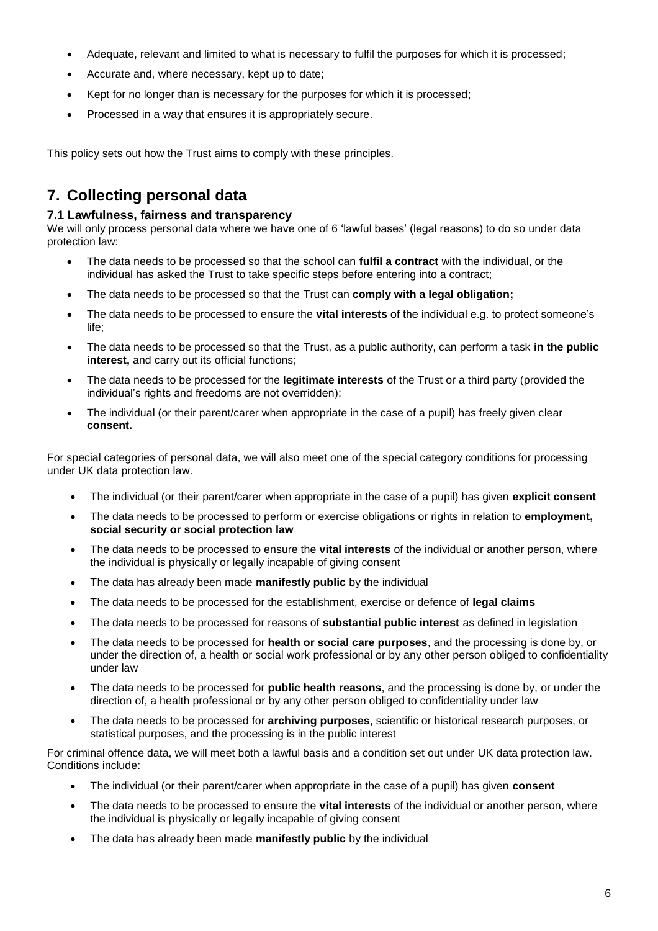- Adequate, relevant and limited to what is necessary to fulfil the purposes for which it is processed;
- Accurate and, where necessary, kept up to date;
- Kept for no longer than is necessary for the purposes for which it is processed;
- Processed in a way that ensures it is appropriately secure.

This policy sets out how the Trust aims to comply with these principles.

## **7. Collecting personal data**

#### **7.1 Lawfulness, fairness and transparency**

We will only process personal data where we have one of 6 'lawful bases' (legal reasons) to do so under data protection law:

- The data needs to be processed so that the school can **fulfil a contract** with the individual, or the individual has asked the Trust to take specific steps before entering into a contract;
- The data needs to be processed so that the Trust can **comply with a legal obligation;**
- The data needs to be processed to ensure the **vital interests** of the individual e.g. to protect someone's life;
- The data needs to be processed so that the Trust, as a public authority, can perform a task **in the public interest,** and carry out its official functions;
- The data needs to be processed for the **legitimate interests** of the Trust or a third party (provided the individual's rights and freedoms are not overridden);
- The individual (or their parent/carer when appropriate in the case of a pupil) has freely given clear **consent.**

For special categories of personal data, we will also meet one of the special category conditions for processing under UK data protection law.

- The individual (or their parent/carer when appropriate in the case of a pupil) has given **explicit consent**
- The data needs to be processed to perform or exercise obligations or rights in relation to **employment, social security or social protection law**
- The data needs to be processed to ensure the **vital interests** of the individual or another person, where the individual is physically or legally incapable of giving consent
- The data has already been made **manifestly public** by the individual
- The data needs to be processed for the establishment, exercise or defence of **legal claims**
- The data needs to be processed for reasons of **substantial public interest** as defined in legislation
- The data needs to be processed for **health or social care purposes**, and the processing is done by, or under the direction of, a health or social work professional or by any other person obliged to confidentiality under law
- The data needs to be processed for **public health reasons**, and the processing is done by, or under the direction of, a health professional or by any other person obliged to confidentiality under law
- The data needs to be processed for **archiving purposes**, scientific or historical research purposes, or statistical purposes, and the processing is in the public interest

For criminal offence data, we will meet both a lawful basis and a condition set out under UK data protection law. Conditions include:

- The individual (or their parent/carer when appropriate in the case of a pupil) has given **consent**
- The data needs to be processed to ensure the **vital interests** of the individual or another person, where the individual is physically or legally incapable of giving consent
- The data has already been made **manifestly public** by the individual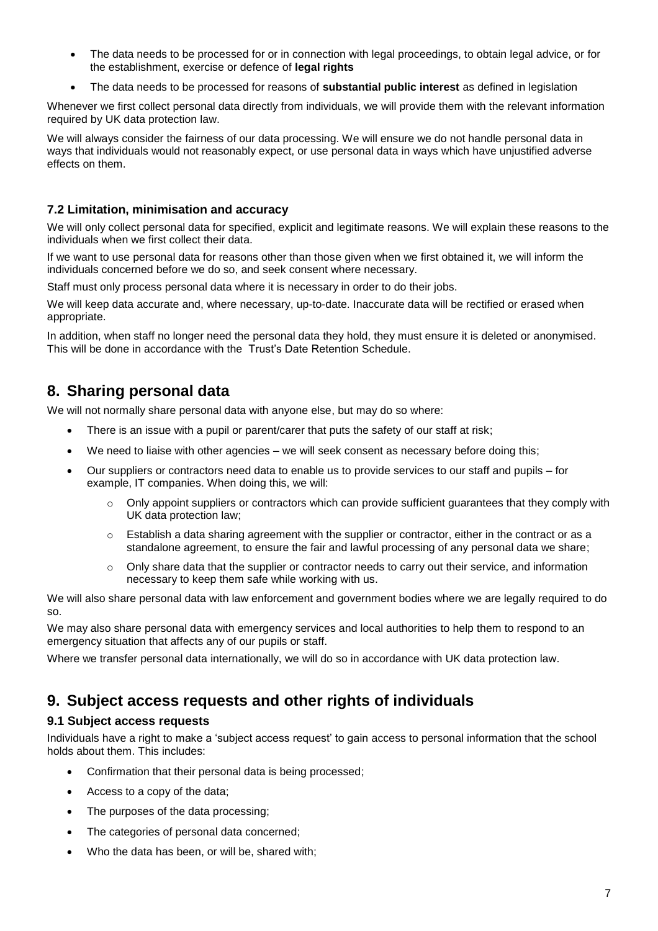- The data needs to be processed for or in connection with legal proceedings, to obtain legal advice, or for the establishment, exercise or defence of **legal rights**
- The data needs to be processed for reasons of **substantial public interest** as defined in legislation

Whenever we first collect personal data directly from individuals, we will provide them with the relevant information required by UK data protection law.

We will always consider the fairness of our data processing. We will ensure we do not handle personal data in ways that individuals would not reasonably expect, or use personal data in ways which have unjustified adverse effects on them.

## **7.2 Limitation, minimisation and accuracy**

We will only collect personal data for specified, explicit and legitimate reasons. We will explain these reasons to the individuals when we first collect their data.

If we want to use personal data for reasons other than those given when we first obtained it, we will inform the individuals concerned before we do so, and seek consent where necessary.

Staff must only process personal data where it is necessary in order to do their jobs.

We will keep data accurate and, where necessary, up-to-date. Inaccurate data will be rectified or erased when appropriate.

In addition, when staff no longer need the personal data they hold, they must ensure it is deleted or anonymised. This will be done in accordance with the Trust's Date Retention Schedule.

## **8. Sharing personal data**

We will not normally share personal data with anyone else, but may do so where:

- There is an issue with a pupil or parent/carer that puts the safety of our staff at risk;
- We need to liaise with other agencies we will seek consent as necessary before doing this;
- Our suppliers or contractors need data to enable us to provide services to our staff and pupils for example, IT companies. When doing this, we will:
	- $\circ$  Only appoint suppliers or contractors which can provide sufficient guarantees that they comply with UK data protection law;
	- o Establish a data sharing agreement with the supplier or contractor, either in the contract or as a standalone agreement, to ensure the fair and lawful processing of any personal data we share;
	- $\circ$  Only share data that the supplier or contractor needs to carry out their service, and information necessary to keep them safe while working with us.

We will also share personal data with law enforcement and government bodies where we are legally required to do so.

We may also share personal data with emergency services and local authorities to help them to respond to an emergency situation that affects any of our pupils or staff.

Where we transfer personal data internationally, we will do so in accordance with UK data protection law.

## **9. Subject access requests and other rights of individuals**

## **9.1 Subject access requests**

Individuals have a right to make a 'subject access request' to gain access to personal information that the school holds about them. This includes:

- Confirmation that their personal data is being processed;
- Access to a copy of the data;
- The purposes of the data processing;
- The categories of personal data concerned;
- Who the data has been, or will be, shared with;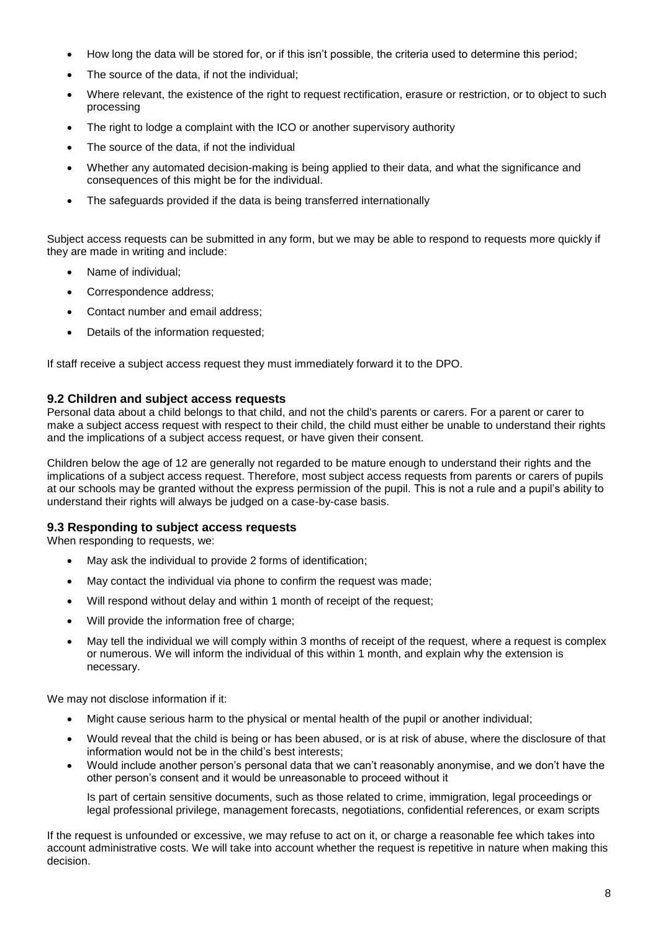- How long the data will be stored for, or if this isn't possible, the criteria used to determine this period;
- The source of the data, if not the individual;
- Where relevant, the existence of the right to request rectification, erasure or restriction, or to object to such processing
- The right to lodge a complaint with the ICO or another supervisory authority
- The source of the data, if not the individual
- Whether any automated decision-making is being applied to their data, and what the significance and consequences of this might be for the individual.
- The safeguards provided if the data is being transferred internationally

Subject access requests can be submitted in any form, but we may be able to respond to requests more quickly if they are made in writing and include:

- Name of individual;
- Correspondence address;
- Contact number and email address;
- Details of the information requested;

If staff receive a subject access request they must immediately forward it to the DPO.

#### **9.2 Children and subject access requests**

Personal data about a child belongs to that child, and not the child's parents or carers. For a parent or carer to make a subject access request with respect to their child, the child must either be unable to understand their rights and the implications of a subject access request, or have given their consent.

Children below the age of 12 are generally not regarded to be mature enough to understand their rights and the implications of a subject access request. Therefore, most subject access requests from parents or carers of pupils at our schools may be granted without the express permission of the pupil. This is not a rule and a pupil's ability to understand their rights will always be judged on a case-by-case basis.

#### **9.3 Responding to subject access requests**

When responding to requests, we:

- May ask the individual to provide 2 forms of identification;
- May contact the individual via phone to confirm the request was made;
- Will respond without delay and within 1 month of receipt of the request;
- Will provide the information free of charge;
- May tell the individual we will comply within 3 months of receipt of the request, where a request is complex or numerous. We will inform the individual of this within 1 month, and explain why the extension is necessary.

We may not disclose information if it:

- Might cause serious harm to the physical or mental health of the pupil or another individual;
- Would reveal that the child is being or has been abused, or is at risk of abuse, where the disclosure of that information would not be in the child's best interests;
- Would include another person's personal data that we can't reasonably anonymise, and we don't have the other person's consent and it would be unreasonable to proceed without it

Is part of certain sensitive documents, such as those related to crime, immigration, legal proceedings or legal professional privilege, management forecasts, negotiations, confidential references, or exam scripts

If the request is unfounded or excessive, we may refuse to act on it, or charge a reasonable fee which takes into account administrative costs. We will take into account whether the request is repetitive in nature when making this decision.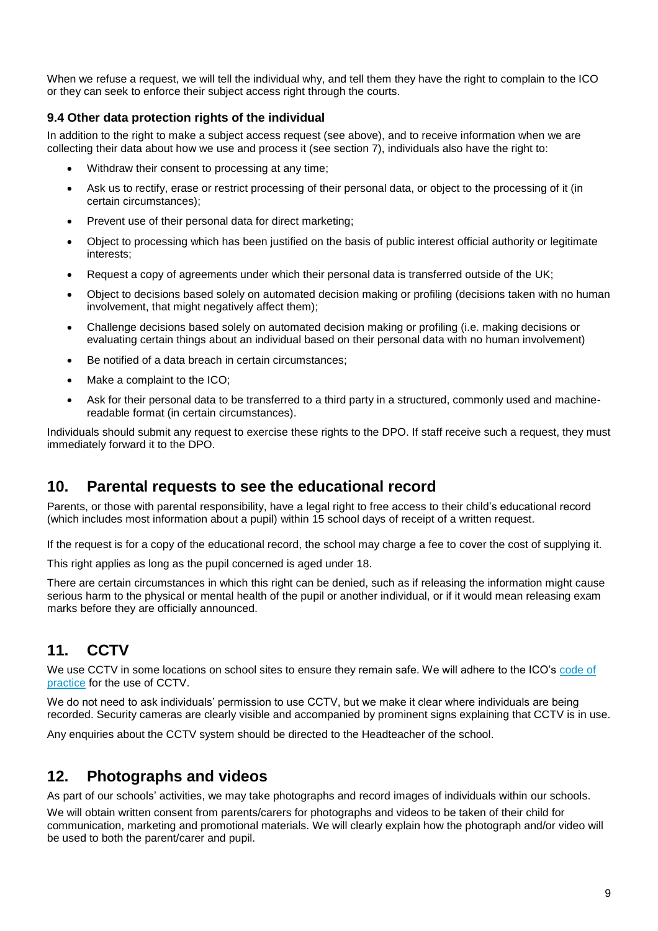When we refuse a request, we will tell the individual why, and tell them they have the right to complain to the ICO or they can seek to enforce their subject access right through the courts.

## **9.4 Other data protection rights of the individual**

In addition to the right to make a subject access request (see above), and to receive information when we are collecting their data about how we use and process it (see section 7), individuals also have the right to:

- Withdraw their consent to processing at any time;
- Ask us to rectify, erase or restrict processing of their personal data, or object to the processing of it (in certain circumstances);
- Prevent use of their personal data for direct marketing;
- Object to processing which has been justified on the basis of public interest official authority or legitimate interests;
- Request a copy of agreements under which their personal data is transferred outside of the UK;
- Object to decisions based solely on automated decision making or profiling (decisions taken with no human involvement, that might negatively affect them);
- Challenge decisions based solely on automated decision making or profiling (i.e. making decisions or evaluating certain things about an individual based on their personal data with no human involvement)
- Be notified of a data breach in certain circumstances;
- Make a complaint to the ICO;
- Ask for their personal data to be transferred to a third party in a structured, commonly used and machinereadable format (in certain circumstances).

Individuals should submit any request to exercise these rights to the DPO. If staff receive such a request, they must immediately forward it to the DPO.

## **10. Parental requests to see the educational record**

Parents, or those with parental responsibility, have a legal right to free access to their child's educational record (which includes most information about a pupil) within 15 school days of receipt of a written request.

If the request is for a copy of the educational record, the school may charge a fee to cover the cost of supplying it.

This right applies as long as the pupil concerned is aged under 18.

There are certain circumstances in which this right can be denied, such as if releasing the information might cause serious harm to the physical or mental health of the pupil or another individual, or if it would mean releasing exam marks before they are officially announced.

# **11. CCTV**

We use CCTV in some locations on school sites to ensure they remain safe. We will adhere to the ICO's code of [practice](https://ico.org.uk/media/for-organisations/documents/1542/cctv-code-of-practice.pdf) for the use of CCTV.

We do not need to ask individuals' permission to use CCTV, but we make it clear where individuals are being recorded. Security cameras are clearly visible and accompanied by prominent signs explaining that CCTV is in use.

Any enquiries about the CCTV system should be directed to the Headteacher of the school.

## **12. Photographs and videos**

As part of our schools' activities, we may take photographs and record images of individuals within our schools.

We will obtain written consent from parents/carers for photographs and videos to be taken of their child for communication, marketing and promotional materials. We will clearly explain how the photograph and/or video will be used to both the parent/carer and pupil.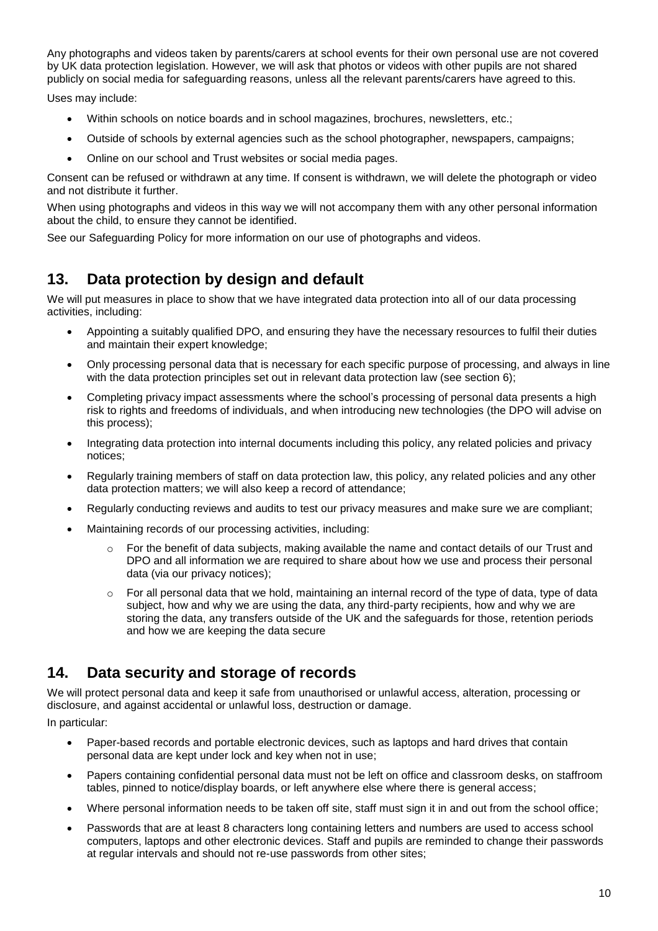Any photographs and videos taken by parents/carers at school events for their own personal use are not covered by UK data protection legislation. However, we will ask that photos or videos with other pupils are not shared publicly on social media for safeguarding reasons, unless all the relevant parents/carers have agreed to this.

Uses may include:

- Within schools on notice boards and in school magazines, brochures, newsletters, etc.;
- Outside of schools by external agencies such as the school photographer, newspapers, campaigns;
- Online on our school and Trust websites or social media pages.

Consent can be refused or withdrawn at any time. If consent is withdrawn, we will delete the photograph or video and not distribute it further.

When using photographs and videos in this way we will not accompany them with any other personal information about the child, to ensure they cannot be identified.

See our Safeguarding Policy for more information on our use of photographs and videos.

## **13. Data protection by design and default**

We will put measures in place to show that we have integrated data protection into all of our data processing activities, including:

- Appointing a suitably qualified DPO, and ensuring they have the necessary resources to fulfil their duties and maintain their expert knowledge;
- Only processing personal data that is necessary for each specific purpose of processing, and always in line with the data protection principles set out in relevant data protection law (see section 6);
- Completing privacy impact assessments where the school's processing of personal data presents a high risk to rights and freedoms of individuals, and when introducing new technologies (the DPO will advise on this process);
- Integrating data protection into internal documents including this policy, any related policies and privacy notices;
- Regularly training members of staff on data protection law, this policy, any related policies and any other data protection matters; we will also keep a record of attendance;
- Regularly conducting reviews and audits to test our privacy measures and make sure we are compliant;
- Maintaining records of our processing activities, including:
	- $\circ$  For the benefit of data subjects, making available the name and contact details of our Trust and DPO and all information we are required to share about how we use and process their personal data (via our privacy notices);
	- $\circ$  For all personal data that we hold, maintaining an internal record of the type of data, type of data subject, how and why we are using the data, any third-party recipients, how and why we are storing the data, any transfers outside of the UK and the safeguards for those, retention periods and how we are keeping the data secure

## **14. Data security and storage of records**

We will protect personal data and keep it safe from unauthorised or unlawful access, alteration, processing or disclosure, and against accidental or unlawful loss, destruction or damage.

In particular:

- Paper-based records and portable electronic devices, such as laptops and hard drives that contain personal data are kept under lock and key when not in use;
- Papers containing confidential personal data must not be left on office and classroom desks, on staffroom tables, pinned to notice/display boards, or left anywhere else where there is general access;
- Where personal information needs to be taken off site, staff must sign it in and out from the school office;
- Passwords that are at least 8 characters long containing letters and numbers are used to access school computers, laptops and other electronic devices. Staff and pupils are reminded to change their passwords at regular intervals and should not re-use passwords from other sites;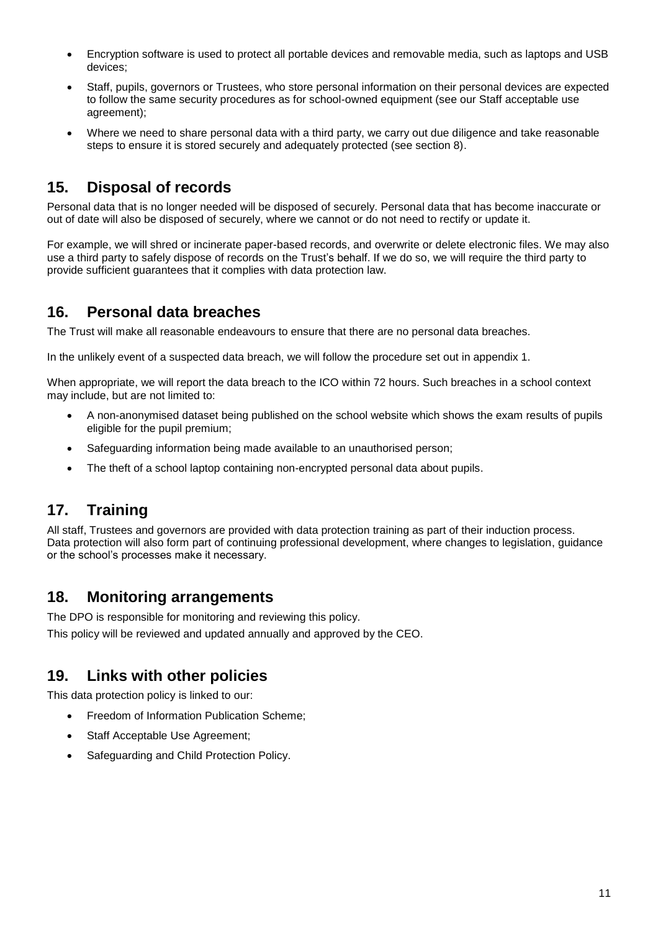- Encryption software is used to protect all portable devices and removable media, such as laptops and USB devices;
- Staff, pupils, governors or Trustees, who store personal information on their personal devices are expected to follow the same security procedures as for school-owned equipment (see our Staff acceptable use agreement);
- Where we need to share personal data with a third party, we carry out due diligence and take reasonable steps to ensure it is stored securely and adequately protected (see section 8).

## **15. Disposal of records**

Personal data that is no longer needed will be disposed of securely. Personal data that has become inaccurate or out of date will also be disposed of securely, where we cannot or do not need to rectify or update it.

For example, we will shred or incinerate paper-based records, and overwrite or delete electronic files. We may also use a third party to safely dispose of records on the Trust's behalf. If we do so, we will require the third party to provide sufficient guarantees that it complies with data protection law.

## **16. Personal data breaches**

The Trust will make all reasonable endeavours to ensure that there are no personal data breaches.

In the unlikely event of a suspected data breach, we will follow the procedure set out in appendix 1.

When appropriate, we will report the data breach to the ICO within 72 hours. Such breaches in a school context may include, but are not limited to:

- A non-anonymised dataset being published on the school website which shows the exam results of pupils eligible for the pupil premium;
- Safeguarding information being made available to an unauthorised person;
- The theft of a school laptop containing non-encrypted personal data about pupils.

# **17. Training**

All staff, Trustees and governors are provided with data protection training as part of their induction process. Data protection will also form part of continuing professional development, where changes to legislation, guidance or the school's processes make it necessary.

## **18. Monitoring arrangements**

The DPO is responsible for monitoring and reviewing this policy. This policy will be reviewed and updated annually and approved by the CEO.

## **19. Links with other policies**

This data protection policy is linked to our:

- Freedom of Information Publication Scheme;
- Staff Acceptable Use Agreement;
- Safeguarding and Child Protection Policy.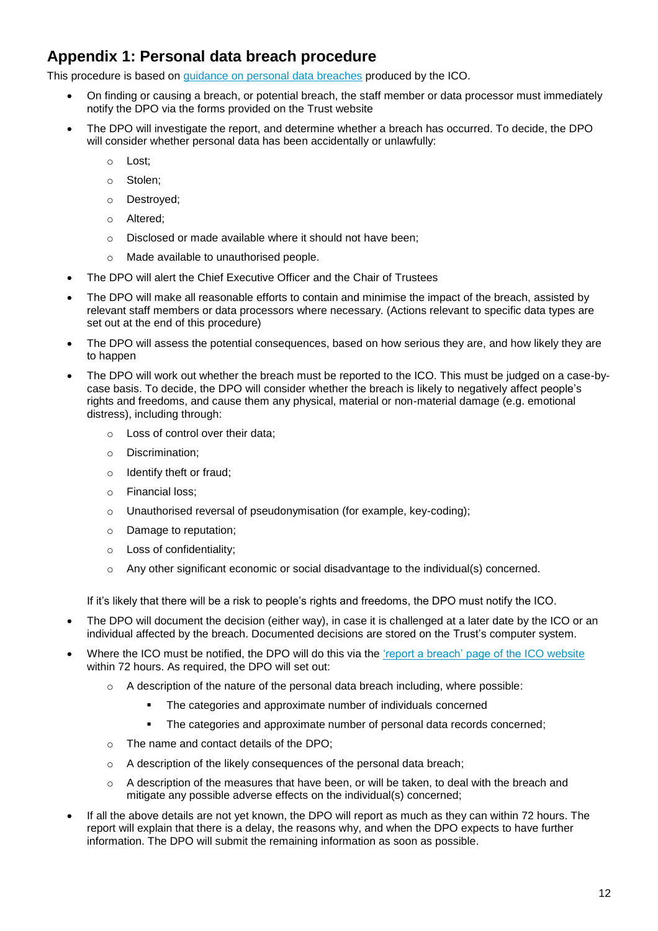# **Appendix 1: Personal data breach procedure**

This procedure is based on [guidance on personal data breaches](https://ico.org.uk/for-organisations/guide-to-the-general-data-protection-regulation-gdpr/personal-data-breaches/) produced by the ICO.

- On finding or causing a breach, or potential breach, the staff member or data processor must immediately notify the DPO via the forms provided on the Trust website
- The DPO will investigate the report, and determine whether a breach has occurred. To decide, the DPO will consider whether personal data has been accidentally or unlawfully:
	- o Lost;
	- o Stolen;
	- o Destroyed;
	- o Altered;
	- o Disclosed or made available where it should not have been;
	- o Made available to unauthorised people.
- The DPO will alert the Chief Executive Officer and the Chair of Trustees
- The DPO will make all reasonable efforts to contain and minimise the impact of the breach, assisted by relevant staff members or data processors where necessary. (Actions relevant to specific data types are set out at the end of this procedure)
- The DPO will assess the potential consequences, based on how serious they are, and how likely they are to happen
- The DPO will work out whether the breach must be reported to the ICO. This must be judged on a case-bycase basis. To decide, the DPO will consider whether the breach is likely to negatively affect people's rights and freedoms, and cause them any physical, material or non-material damage (e.g. emotional distress), including through:
	- o Loss of control over their data;
	- o Discrimination;
	- o Identify theft or fraud;
	- o Financial loss;
	- o Unauthorised reversal of pseudonymisation (for example, key-coding);
	- o Damage to reputation;
	- o Loss of confidentiality;
	- $\circ$  Any other significant economic or social disadvantage to the individual(s) concerned.

If it's likely that there will be a risk to people's rights and freedoms, the DPO must notify the ICO.

- The DPO will document the decision (either way), in case it is challenged at a later date by the ICO or an individual affected by the breach. Documented decisions are stored on the Trust's computer system.
- Where the ICO must be notified, the DPO will do this via the ['report a breach' page of the ICO website](https://ico.org.uk/for-organisations/report-a-breach/) within 72 hours. As required, the DPO will set out:
	- $\circ$  A description of the nature of the personal data breach including, where possible:
		- **The categories and approximate number of individuals concerned**
		- **•** The categories and approximate number of personal data records concerned;
	- o The name and contact details of the DPO;
	- o A description of the likely consequences of the personal data breach;
	- $\circ$  A description of the measures that have been, or will be taken, to deal with the breach and mitigate any possible adverse effects on the individual(s) concerned;
- If all the above details are not yet known, the DPO will report as much as they can within 72 hours. The report will explain that there is a delay, the reasons why, and when the DPO expects to have further information. The DPO will submit the remaining information as soon as possible.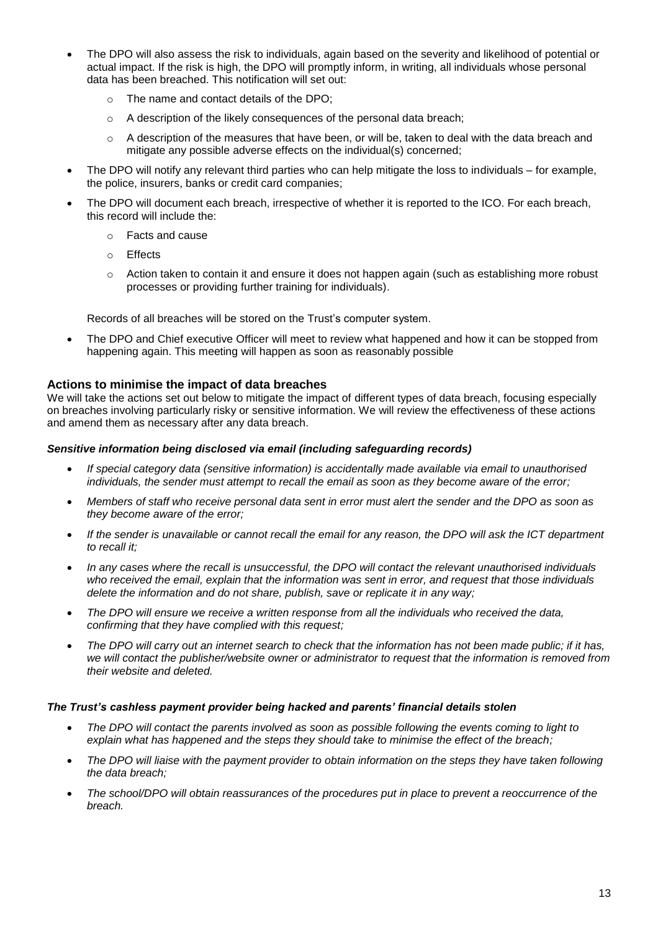- The DPO will also assess the risk to individuals, again based on the severity and likelihood of potential or actual impact. If the risk is high, the DPO will promptly inform, in writing, all individuals whose personal data has been breached. This notification will set out:
	- o The name and contact details of the DPO;
	- o A description of the likely consequences of the personal data breach;
	- o A description of the measures that have been, or will be, taken to deal with the data breach and mitigate any possible adverse effects on the individual(s) concerned;
- The DPO will notify any relevant third parties who can help mitigate the loss to individuals for example, the police, insurers, banks or credit card companies;
- The DPO will document each breach, irrespective of whether it is reported to the ICO. For each breach, this record will include the:
	- o Facts and cause
	- o Effects
	- o Action taken to contain it and ensure it does not happen again (such as establishing more robust processes or providing further training for individuals).

Records of all breaches will be stored on the Trust's computer system.

The DPO and Chief executive Officer will meet to review what happened and how it can be stopped from happening again. This meeting will happen as soon as reasonably possible

#### **Actions to minimise the impact of data breaches**

We will take the actions set out below to mitigate the impact of different types of data breach, focusing especially on breaches involving particularly risky or sensitive information. We will review the effectiveness of these actions and amend them as necessary after any data breach.

#### *Sensitive information being disclosed via email (including safeguarding records)*

- *If special category data (sensitive information) is accidentally made available via email to unauthorised individuals, the sender must attempt to recall the email as soon as they become aware of the error;*
- *Members of staff who receive personal data sent in error must alert the sender and the DPO as soon as they become aware of the error;*
- *If the sender is unavailable or cannot recall the email for any reason, the DPO will ask the ICT department to recall it;*
- *In any cases where the recall is unsuccessful, the DPO will contact the relevant unauthorised individuals who received the email, explain that the information was sent in error, and request that those individuals delete the information and do not share, publish, save or replicate it in any way;*
- *The DPO will ensure we receive a written response from all the individuals who received the data, confirming that they have complied with this request;*
- *The DPO will carry out an internet search to check that the information has not been made public; if it has, we will contact the publisher/website owner or administrator to request that the information is removed from their website and deleted.*

#### *The Trust's cashless payment provider being hacked and parents' financial details stolen*

- *The DPO will contact the parents involved as soon as possible following the events coming to light to explain what has happened and the steps they should take to minimise the effect of the breach;*
- *The DPO will liaise with the payment provider to obtain information on the steps they have taken following the data breach;*
- *The school/DPO will obtain reassurances of the procedures put in place to prevent a reoccurrence of the breach.*